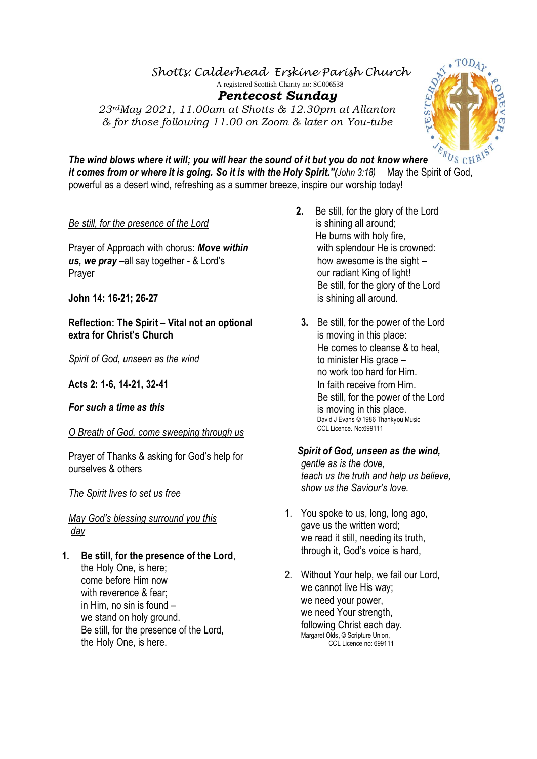## *Shotts: Calderhead Erskine Parish Church*  A registered Scottish Charity no: SC006538  *Pentecost Sunday*

*23rdMay 2021, 11.00am at Shotts & 12.30pm at Allanton & for those following 11.00 on Zoom & later on You-tube*



*The wind blows where it will; you will hear the sound of it but you do not know where it comes from or where it is going. So it is with the Holy Spirit."(John 3:18)* May the Spirit of God, powerful as a desert wind, refreshing as a summer breeze, inspire our worship today!

*Be still, for the presence of the Lord*

Prayer of Approach with chorus: *Move within us, we pray* –all say together - & Lord's Prayer

**John 14: 16-21; 26-27**

**Reflection: The Spirit – Vital not an optional extra for Christ's Church**

*Spirit of God, unseen as the wind*

**Acts 2: 1-6, 14-21, 32-41**

## *For such a time as this*

*O Breath of God, come sweeping through us* 

Prayer of Thanks & asking for God's help for ourselves & others

*The Spirit lives to set us free* 

*May God's blessing surround you this day* 

**1. Be still, for the presence of the Lord**, the Holy One, is here; come before Him now with reverence & fear; in Him, no sin is found – we stand on holy ground. Be still, for the presence of the Lord, the Holy One, is here.

- **2.** Be still, for the glory of the Lord is shining all around; He burns with holy fire, with splendour He is crowned: how awesome is the sight – our radiant King of light! Be still, for the glory of the Lord is shining all around.
- **3.** Be still, for the power of the Lord is moving in this place: He comes to cleanse & to heal, to minister His grace – no work too hard for Him. In faith receive from Him. Be still, for the power of the Lord is moving in this place. David J Evans © 1986 Thankyou Music CCL Licence. No:699111

*Spirit of God, unseen as the wind, gentle as is the dove, teach us the truth and help us believe, show us the Saviour's love.*

- 1. You spoke to us, long, long ago, gave us the written word; we read it still, needing its truth, through it, God's voice is hard,
- 2. Without Your help, we fail our Lord, we cannot live His way; we need your power, we need Your strength, following Christ each day. Margaret Olds, © Scripture Union, CCL Licence no: 699111